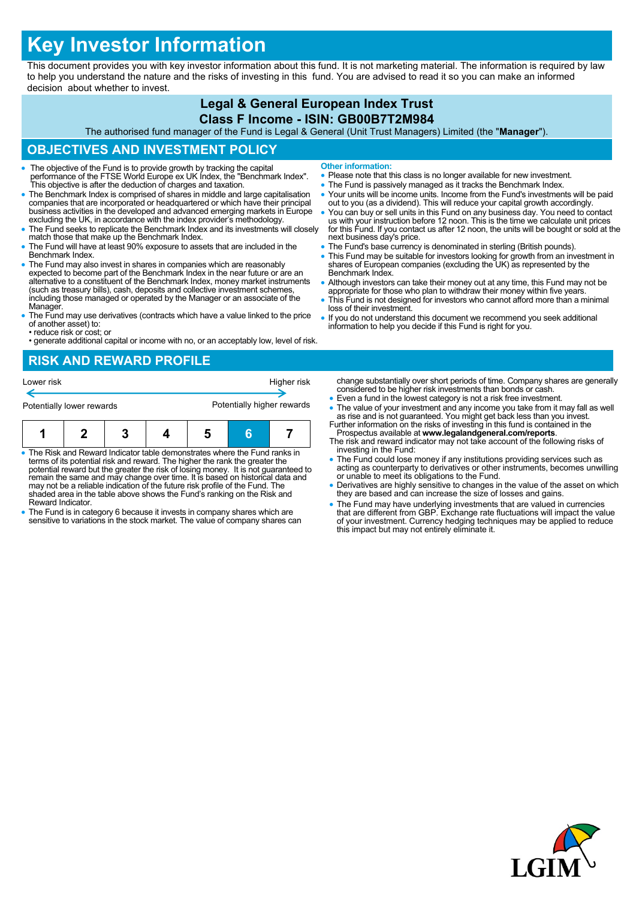# **Key Investor Information**

This document provides you with key investor information about this fund. It is not marketing material. The information is required by law to help you understand the nature and the risks of investing in this fund. You are advised to read it so you can make an informed decision about whether to invest.

## **Legal & General European Index Trust Class F Income - ISIN: GB00B7T2M984**

The authorised fund manager of the Fund is Legal & General (Unit Trust Managers) Limited (the "**Manager**").

## **OBJECTIVES AND INVESTMENT POLICY**

- The objective of the Fund is to provide growth by tracking the capital performance of the FTSE World Europe ex UK Index, the "Benchmark Index". This objective is after the deduction of charges and taxation.
- The Benchmark Index is comprised of shares in middle and large capitalisation companies that are incorporated or headquartered or which have their principal business activities in the developed and advanced emerging markets in Europe excluding the UK, in accordance with the index provider's methodology.
- The Fund seeks to replicate the Benchmark Index and its investments will closely match those that make up the Benchmark Index.
- The Fund will have at least 90% exposure to assets that are included in the Benchmark Index.
- The Fund may also invest in shares in companies which are reasonably expected to become part of the Benchmark Index in the near future or are an alternative to a constituent of the Benchmark Index, money market instruments (such as treasury bills), cash, deposits and collective investment schemes, including those managed or operated by the Manager or an associate of the Manager.
- The Fund may use derivatives (contracts which have a value linked to the price of another asset) to: • reduce risk or cost; or
- generate additional capital or income with no, or an acceptably low, level of risk.

# **RISK AND REWARD PROFILE**

| Lower risk                |  | Higher risk                |  |  |  |
|---------------------------|--|----------------------------|--|--|--|
| Potentially lower rewards |  | Potentially higher rewards |  |  |  |
|                           |  |                            |  |  |  |

| • The Risk and Reward Indicator table demonstrates where the Fund ranks in<br>terms of its potential risk and reward. The higher the rank the greater the<br>potential reward but the greater the risk of losing money. It is not quaranteed to<br>romain the came and may change over time. It is based on bistorical data and |  |  |  |  |  |  |  |
|---------------------------------------------------------------------------------------------------------------------------------------------------------------------------------------------------------------------------------------------------------------------------------------------------------------------------------|--|--|--|--|--|--|--|

- remain the same and may change over time. It is based on historical data and may not be a reliable indication of the future risk profile of the Fund. The shaded area in the table above shows the Fund's ranking on the Risk and Reward Indicator.
- The Fund is in category 6 because it invests in company shares which are sensitive to variations in the stock market. The value of company shares can
- **Other information:**
- Please note that this class is no longer available for new investment.
- The Fund is passively managed as it tracks the Benchmark Index.
- Your units will be income units. Income from the Fund's investments will be paid out to you (as a dividend). This will reduce your capital growth accordingly.
- You can buy or sell units in this Fund on any business day. You need to contact us with your instruction before 12 noon. This is the time we calculate unit prices for this Fund. If you contact us after 12 noon, the units will be bought or sold at the next business day's price.
- The Fund's base currency is denominated in sterling (British pounds).
- This Fund may be suitable for investors looking for growth from an investment in shares of European companies (excluding the UK) as represented by the Benchmark Index.
- Although investors can take their money out at any time, this Fund may not be appropriate for those who plan to withdraw their money within five years.
- This Fund is not designed for investors who cannot afford more than a minimal loss of their investment.
- If you do not understand this document we recommend you seek additional information to help you decide if this Fund is right for you.

change substantially over short periods of time. Company shares are generally considered to be higher risk investments than bonds or cash.

- Even a fund in the lowest category is not a risk free investment.
- The value of your investment and any income you take from it may fall as well as rise and is not guaranteed. You might get back less than you invest. Further information on the risks of investing in this fund is contained in the
- Prospectus available at **www.legalandgeneral.com/reports**. The risk and reward indicator may not take account of the following risks of investing in the Fund:
- The Fund could lose money if any institutions providing services such as acting as counterparty to derivatives or other instruments, becomes unwilling or unable to meet its obligations to the Fund.
- Derivatives are highly sensitive to changes in the value of the asset on which they are based and can increase the size of losses and gains.
- The Fund may have underlying investments that are valued in currencies that are different from GBP. Exchange rate fluctuations will impact the value of your investment. Currency hedging techniques may be applied to reduce this impact but may not entirely eliminate it.